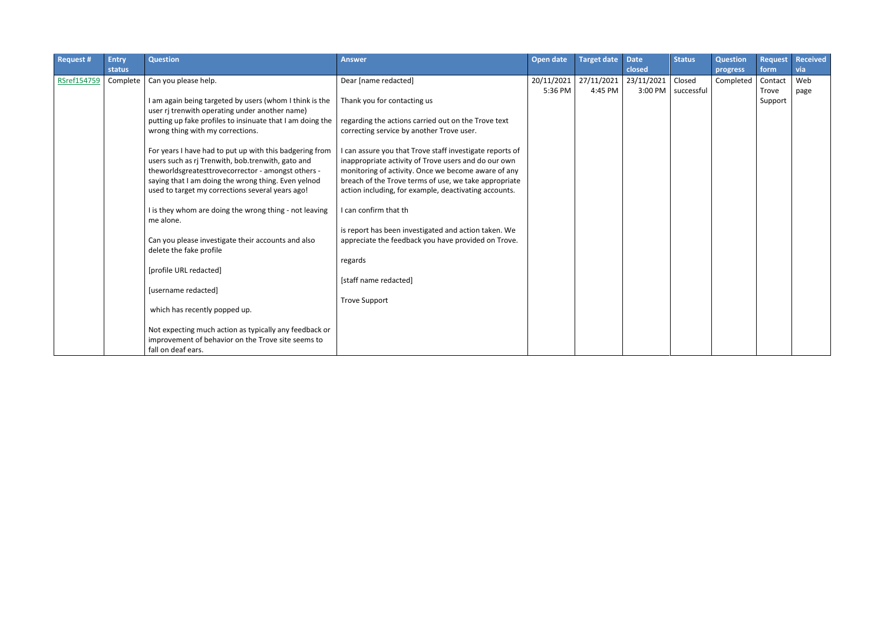| <b>Request #</b> | <b>Entry</b> | <b>Question</b>                                           | <b>Answer</b>                                            | Open date  | Target date | <b>Date</b> | <b>Status</b>        | <b>Question</b> | <b>Request</b> | <b>Received</b> |
|------------------|--------------|-----------------------------------------------------------|----------------------------------------------------------|------------|-------------|-------------|----------------------|-----------------|----------------|-----------------|
|                  | status       |                                                           |                                                          |            |             | closed      |                      | progress        | form           | via             |
| RSref154759      | Complete     | Can you please help.                                      | Dear [name redacted]                                     | 20/11/2021 | 27/11/2021  | 23/11/2021  | Closed               | Completed       | Contact        | Web             |
|                  |              |                                                           |                                                          | 5:36 PM    | 4:45 PM     |             | 3:00 PM   successful |                 | Trove          | page            |
|                  |              | I am again being targeted by users (whom I think is the   | Thank you for contacting us                              |            |             |             |                      |                 | Support        |                 |
|                  |              | user rj trenwith operating under another name)            |                                                          |            |             |             |                      |                 |                |                 |
|                  |              | putting up fake profiles to insinuate that I am doing the | regarding the actions carried out on the Trove text      |            |             |             |                      |                 |                |                 |
|                  |              | wrong thing with my corrections.                          | correcting service by another Trove user.                |            |             |             |                      |                 |                |                 |
|                  |              |                                                           |                                                          |            |             |             |                      |                 |                |                 |
|                  |              | For years I have had to put up with this badgering from   | I can assure you that Trove staff investigate reports of |            |             |             |                      |                 |                |                 |
|                  |              | users such as rj Trenwith, bob.trenwith, gato and         | inappropriate activity of Trove users and do our own     |            |             |             |                      |                 |                |                 |
|                  |              | theworldsgreatesttrovecorrector - amongst others -        | monitoring of activity. Once we become aware of any      |            |             |             |                      |                 |                |                 |
|                  |              | saying that I am doing the wrong thing. Even yelnod       | breach of the Trove terms of use, we take appropriate    |            |             |             |                      |                 |                |                 |
|                  |              | used to target my corrections several years ago!          | action including, for example, deactivating accounts.    |            |             |             |                      |                 |                |                 |
|                  |              | I is they whom are doing the wrong thing - not leaving    | I can confirm that th                                    |            |             |             |                      |                 |                |                 |
|                  |              | me alone.                                                 |                                                          |            |             |             |                      |                 |                |                 |
|                  |              |                                                           | is report has been investigated and action taken. We     |            |             |             |                      |                 |                |                 |
|                  |              | Can you please investigate their accounts and also        | appreciate the feedback you have provided on Trove.      |            |             |             |                      |                 |                |                 |
|                  |              | delete the fake profile                                   |                                                          |            |             |             |                      |                 |                |                 |
|                  |              |                                                           | regards                                                  |            |             |             |                      |                 |                |                 |
|                  |              | [profile URL redacted]                                    |                                                          |            |             |             |                      |                 |                |                 |
|                  |              |                                                           | [staff name redacted]                                    |            |             |             |                      |                 |                |                 |
|                  |              | [username redacted]                                       |                                                          |            |             |             |                      |                 |                |                 |
|                  |              |                                                           | <b>Trove Support</b>                                     |            |             |             |                      |                 |                |                 |
|                  |              | which has recently popped up.                             |                                                          |            |             |             |                      |                 |                |                 |
|                  |              |                                                           |                                                          |            |             |             |                      |                 |                |                 |
|                  |              | Not expecting much action as typically any feedback or    |                                                          |            |             |             |                      |                 |                |                 |
|                  |              | improvement of behavior on the Trove site seems to        |                                                          |            |             |             |                      |                 |                |                 |
|                  |              | fall on deaf ears.                                        |                                                          |            |             |             |                      |                 |                |                 |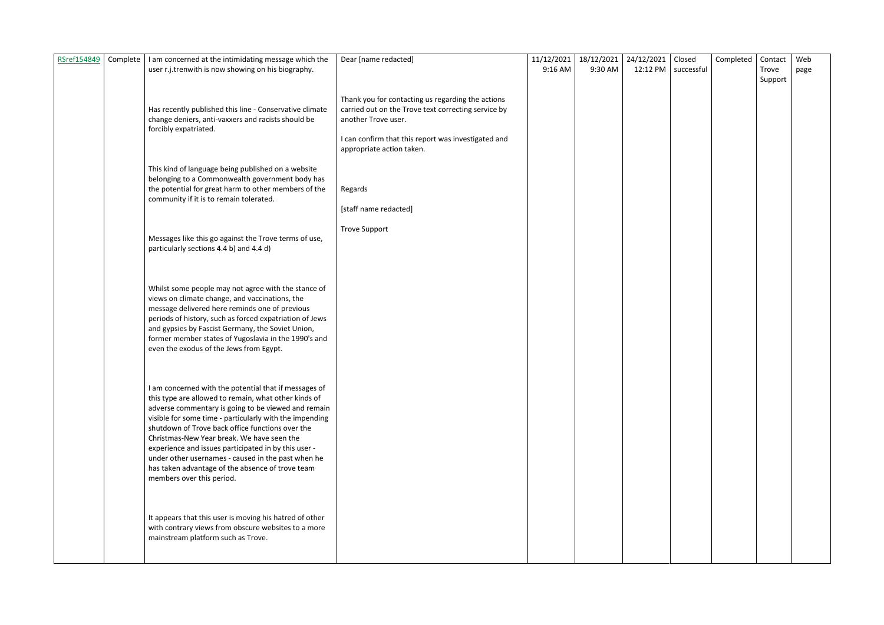| RSref154849 | Complete | I am concerned at the intimidating message which the                                                         | Dear [name redacted]                                | 11/12/2021 | 18/12/2021 | 24/12/2021 | Closed                | Completed | Contact | Web  |
|-------------|----------|--------------------------------------------------------------------------------------------------------------|-----------------------------------------------------|------------|------------|------------|-----------------------|-----------|---------|------|
|             |          | user r.j.trenwith is now showing on his biography.                                                           |                                                     | 9:16 AM    | 9:30 AM    |            | 12:12 PM   successful |           | Trove   | page |
|             |          |                                                                                                              |                                                     |            |            |            |                       |           | Support |      |
|             |          |                                                                                                              |                                                     |            |            |            |                       |           |         |      |
|             |          |                                                                                                              | Thank you for contacting us regarding the actions   |            |            |            |                       |           |         |      |
|             |          | Has recently published this line - Conservative climate                                                      | carried out on the Trove text correcting service by |            |            |            |                       |           |         |      |
|             |          | change deniers, anti-vaxxers and racists should be                                                           | another Trove user.                                 |            |            |            |                       |           |         |      |
|             |          | forcibly expatriated.                                                                                        |                                                     |            |            |            |                       |           |         |      |
|             |          |                                                                                                              | I can confirm that this report was investigated and |            |            |            |                       |           |         |      |
|             |          |                                                                                                              | appropriate action taken.                           |            |            |            |                       |           |         |      |
|             |          |                                                                                                              |                                                     |            |            |            |                       |           |         |      |
|             |          | This kind of language being published on a website                                                           |                                                     |            |            |            |                       |           |         |      |
|             |          | belonging to a Commonwealth government body has                                                              |                                                     |            |            |            |                       |           |         |      |
|             |          | the potential for great harm to other members of the                                                         | Regards                                             |            |            |            |                       |           |         |      |
|             |          | community if it is to remain tolerated.                                                                      |                                                     |            |            |            |                       |           |         |      |
|             |          |                                                                                                              | [staff name redacted]                               |            |            |            |                       |           |         |      |
|             |          |                                                                                                              |                                                     |            |            |            |                       |           |         |      |
|             |          |                                                                                                              | <b>Trove Support</b>                                |            |            |            |                       |           |         |      |
|             |          | Messages like this go against the Trove terms of use,                                                        |                                                     |            |            |            |                       |           |         |      |
|             |          | particularly sections 4.4 b) and 4.4 d)                                                                      |                                                     |            |            |            |                       |           |         |      |
|             |          |                                                                                                              |                                                     |            |            |            |                       |           |         |      |
|             |          |                                                                                                              |                                                     |            |            |            |                       |           |         |      |
|             |          |                                                                                                              |                                                     |            |            |            |                       |           |         |      |
|             |          | Whilst some people may not agree with the stance of                                                          |                                                     |            |            |            |                       |           |         |      |
|             |          | views on climate change, and vaccinations, the                                                               |                                                     |            |            |            |                       |           |         |      |
|             |          | message delivered here reminds one of previous                                                               |                                                     |            |            |            |                       |           |         |      |
|             |          | periods of history, such as forced expatriation of Jews<br>and gypsies by Fascist Germany, the Soviet Union, |                                                     |            |            |            |                       |           |         |      |
|             |          | former member states of Yugoslavia in the 1990's and                                                         |                                                     |            |            |            |                       |           |         |      |
|             |          | even the exodus of the Jews from Egypt.                                                                      |                                                     |            |            |            |                       |           |         |      |
|             |          |                                                                                                              |                                                     |            |            |            |                       |           |         |      |
|             |          |                                                                                                              |                                                     |            |            |            |                       |           |         |      |
|             |          |                                                                                                              |                                                     |            |            |            |                       |           |         |      |
|             |          | I am concerned with the potential that if messages of                                                        |                                                     |            |            |            |                       |           |         |      |
|             |          | this type are allowed to remain, what other kinds of                                                         |                                                     |            |            |            |                       |           |         |      |
|             |          | adverse commentary is going to be viewed and remain                                                          |                                                     |            |            |            |                       |           |         |      |
|             |          | visible for some time - particularly with the impending                                                      |                                                     |            |            |            |                       |           |         |      |
|             |          | shutdown of Trove back office functions over the                                                             |                                                     |            |            |            |                       |           |         |      |
|             |          | Christmas-New Year break. We have seen the                                                                   |                                                     |            |            |            |                       |           |         |      |
|             |          | experience and issues participated in by this user -                                                         |                                                     |            |            |            |                       |           |         |      |
|             |          | under other usernames - caused in the past when he                                                           |                                                     |            |            |            |                       |           |         |      |
|             |          | has taken advantage of the absence of trove team                                                             |                                                     |            |            |            |                       |           |         |      |
|             |          | members over this period.                                                                                    |                                                     |            |            |            |                       |           |         |      |
|             |          |                                                                                                              |                                                     |            |            |            |                       |           |         |      |
|             |          |                                                                                                              |                                                     |            |            |            |                       |           |         |      |
|             |          |                                                                                                              |                                                     |            |            |            |                       |           |         |      |
|             |          | It appears that this user is moving his hatred of other                                                      |                                                     |            |            |            |                       |           |         |      |
|             |          | with contrary views from obscure websites to a more                                                          |                                                     |            |            |            |                       |           |         |      |
|             |          | mainstream platform such as Trove.                                                                           |                                                     |            |            |            |                       |           |         |      |
|             |          |                                                                                                              |                                                     |            |            |            |                       |           |         |      |
|             |          |                                                                                                              |                                                     |            |            |            |                       |           |         |      |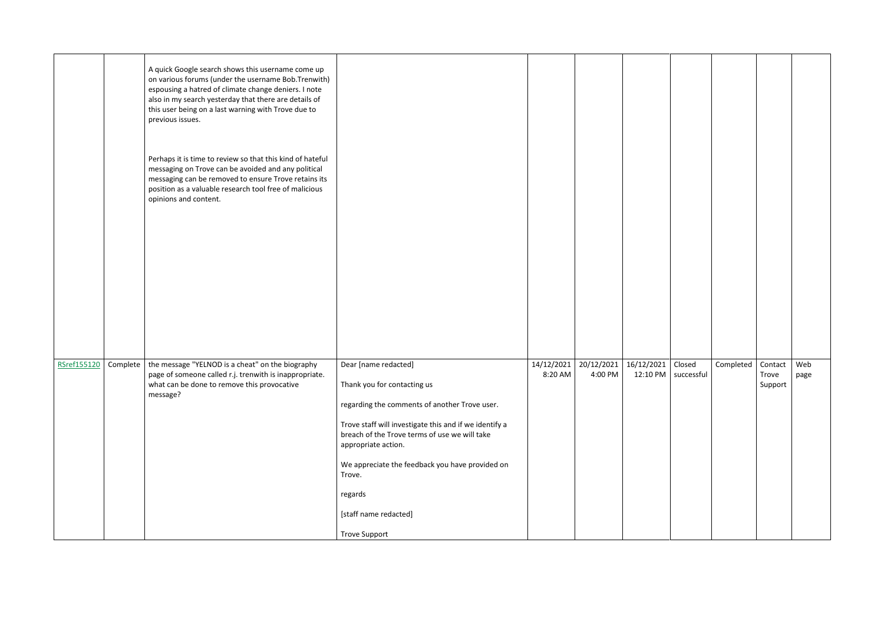|             |          | A quick Google search shows this username come up<br>on various forums (under the username Bob.Trenwith)<br>espousing a hatred of climate change deniers. I note<br>also in my search yesterday that there are details of<br>this user being on a last warning with Trove due to<br>previous issues. |                                                                                                                                                                                                                                                                                                                                                                 |                       |                       |            |                                       |           |                             |             |
|-------------|----------|------------------------------------------------------------------------------------------------------------------------------------------------------------------------------------------------------------------------------------------------------------------------------------------------------|-----------------------------------------------------------------------------------------------------------------------------------------------------------------------------------------------------------------------------------------------------------------------------------------------------------------------------------------------------------------|-----------------------|-----------------------|------------|---------------------------------------|-----------|-----------------------------|-------------|
|             |          | Perhaps it is time to review so that this kind of hateful<br>messaging on Trove can be avoided and any political<br>messaging can be removed to ensure Trove retains its<br>position as a valuable research tool free of malicious<br>opinions and content.                                          |                                                                                                                                                                                                                                                                                                                                                                 |                       |                       |            |                                       |           |                             |             |
| RSref155120 | Complete | the message "YELNOD is a cheat" on the biography<br>page of someone called r.j. trenwith is inappropriate.<br>what can be done to remove this provocative<br>message?                                                                                                                                | Dear [name redacted]<br>Thank you for contacting us<br>regarding the comments of another Trove user.<br>Trove staff will investigate this and if we identify a<br>breach of the Trove terms of use we will take<br>appropriate action.<br>We appreciate the feedback you have provided on<br>Trove.<br>regards<br>[staff name redacted]<br><b>Trove Support</b> | 14/12/2021<br>8:20 AM | 20/12/2021<br>4:00 PM | 16/12/2021 | Closed<br>12:10 PM $\vert$ successful | Completed | Contact<br>Trove<br>Support | Web<br>page |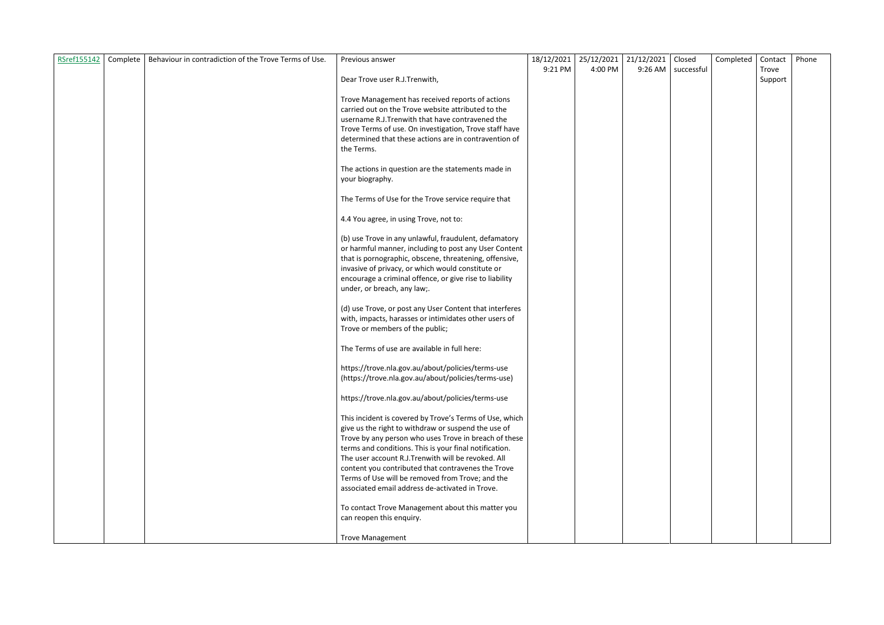| RSref155142 | Complete   Behaviour in contradiction of the Trove Terms of Use. | Previous answer                                                                                                 | 18/12/2021 | 25/12/2021 | 21/12/2021 | Closed               | Completed | Contact | Phone |
|-------------|------------------------------------------------------------------|-----------------------------------------------------------------------------------------------------------------|------------|------------|------------|----------------------|-----------|---------|-------|
|             |                                                                  |                                                                                                                 | 9:21 PM    | 4:00 PM    |            | 9:26 AM   successful |           | Trove   |       |
|             |                                                                  | Dear Trove user R.J.Trenwith,                                                                                   |            |            |            |                      |           | Support |       |
|             |                                                                  |                                                                                                                 |            |            |            |                      |           |         |       |
|             |                                                                  | Trove Management has received reports of actions<br>carried out on the Trove website attributed to the          |            |            |            |                      |           |         |       |
|             |                                                                  |                                                                                                                 |            |            |            |                      |           |         |       |
|             |                                                                  | username R.J.Trenwith that have contravened the                                                                 |            |            |            |                      |           |         |       |
|             |                                                                  | Trove Terms of use. On investigation, Trove staff have<br>determined that these actions are in contravention of |            |            |            |                      |           |         |       |
|             |                                                                  | the Terms.                                                                                                      |            |            |            |                      |           |         |       |
|             |                                                                  |                                                                                                                 |            |            |            |                      |           |         |       |
|             |                                                                  | The actions in question are the statements made in                                                              |            |            |            |                      |           |         |       |
|             |                                                                  | your biography.                                                                                                 |            |            |            |                      |           |         |       |
|             |                                                                  |                                                                                                                 |            |            |            |                      |           |         |       |
|             |                                                                  | The Terms of Use for the Trove service require that                                                             |            |            |            |                      |           |         |       |
|             |                                                                  |                                                                                                                 |            |            |            |                      |           |         |       |
|             |                                                                  | 4.4 You agree, in using Trove, not to:                                                                          |            |            |            |                      |           |         |       |
|             |                                                                  | (b) use Trove in any unlawful, fraudulent, defamatory                                                           |            |            |            |                      |           |         |       |
|             |                                                                  |                                                                                                                 |            |            |            |                      |           |         |       |
|             |                                                                  | or harmful manner, including to post any User Content                                                           |            |            |            |                      |           |         |       |
|             |                                                                  | that is pornographic, obscene, threatening, offensive,<br>invasive of privacy, or which would constitute or     |            |            |            |                      |           |         |       |
|             |                                                                  | encourage a criminal offence, or give rise to liability                                                         |            |            |            |                      |           |         |       |
|             |                                                                  | under, or breach, any law;.                                                                                     |            |            |            |                      |           |         |       |
|             |                                                                  |                                                                                                                 |            |            |            |                      |           |         |       |
|             |                                                                  | (d) use Trove, or post any User Content that interferes                                                         |            |            |            |                      |           |         |       |
|             |                                                                  | with, impacts, harasses or intimidates other users of                                                           |            |            |            |                      |           |         |       |
|             |                                                                  | Trove or members of the public;                                                                                 |            |            |            |                      |           |         |       |
|             |                                                                  |                                                                                                                 |            |            |            |                      |           |         |       |
|             |                                                                  | The Terms of use are available in full here:                                                                    |            |            |            |                      |           |         |       |
|             |                                                                  | https://trove.nla.gov.au/about/policies/terms-use                                                               |            |            |            |                      |           |         |       |
|             |                                                                  | (https://trove.nla.gov.au/about/policies/terms-use)                                                             |            |            |            |                      |           |         |       |
|             |                                                                  |                                                                                                                 |            |            |            |                      |           |         |       |
|             |                                                                  | https://trove.nla.gov.au/about/policies/terms-use                                                               |            |            |            |                      |           |         |       |
|             |                                                                  |                                                                                                                 |            |            |            |                      |           |         |       |
|             |                                                                  | This incident is covered by Trove's Terms of Use, which                                                         |            |            |            |                      |           |         |       |
|             |                                                                  | give us the right to withdraw or suspend the use of                                                             |            |            |            |                      |           |         |       |
|             |                                                                  | Trove by any person who uses Trove in breach of these                                                           |            |            |            |                      |           |         |       |
|             |                                                                  | terms and conditions. This is your final notification.                                                          |            |            |            |                      |           |         |       |
|             |                                                                  | The user account R.J.Trenwith will be revoked. All                                                              |            |            |            |                      |           |         |       |
|             |                                                                  | content you contributed that contravenes the Trove                                                              |            |            |            |                      |           |         |       |
|             |                                                                  | Terms of Use will be removed from Trove; and the                                                                |            |            |            |                      |           |         |       |
|             |                                                                  | associated email address de-activated in Trove.                                                                 |            |            |            |                      |           |         |       |
|             |                                                                  | To contact Trove Management about this matter you                                                               |            |            |            |                      |           |         |       |
|             |                                                                  | can reopen this enquiry.                                                                                        |            |            |            |                      |           |         |       |
|             |                                                                  |                                                                                                                 |            |            |            |                      |           |         |       |
|             |                                                                  | <b>Trove Management</b>                                                                                         |            |            |            |                      |           |         |       |